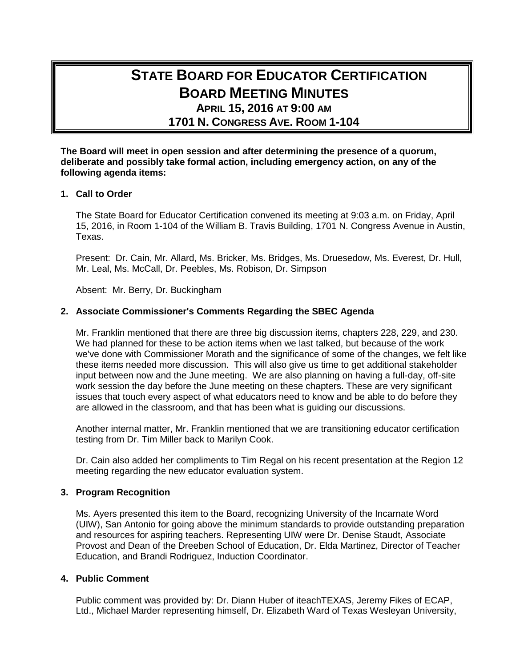# **STATE BOARD FOR EDUCATOR CERTIFICATION BOARD MEETING MINUTES APRIL 15, 2016 AT 9:00 AM**

**1701 N. CONGRESS AVE. ROOM 1-104**

# **The Board will meet in open session and after determining the presence of a quorum, deliberate and possibly take formal action, including emergency action, on any of the following agenda items:**

# **1. Call to Order**

The State Board for Educator Certification convened its meeting at 9:03 a.m. on Friday, April 15, 2016, in Room 1-104 of the William B. Travis Building, 1701 N. Congress Avenue in Austin, Texas.

Present: Dr. Cain, Mr. Allard, Ms. Bricker, Ms. Bridges, Ms. Druesedow, Ms. Everest, Dr. Hull, Mr. Leal, Ms. McCall, Dr. Peebles, Ms. Robison, Dr. Simpson

Absent: Mr. Berry, Dr. Buckingham

# **2. Associate Commissioner's Comments Regarding the SBEC Agenda**

Mr. Franklin mentioned that there are three big discussion items, chapters 228, 229, and 230. We had planned for these to be action items when we last talked, but because of the work we've done with Commissioner Morath and the significance of some of the changes, we felt like these items needed more discussion. This will also give us time to get additional stakeholder input between now and the June meeting. We are also planning on having a full-day, off-site work session the day before the June meeting on these chapters. These are very significant issues that touch every aspect of what educators need to know and be able to do before they are allowed in the classroom, and that has been what is guiding our discussions.

Another internal matter, Mr. Franklin mentioned that we are transitioning educator certification testing from Dr. Tim Miller back to Marilyn Cook.

Dr. Cain also added her compliments to Tim Regal on his recent presentation at the Region 12 meeting regarding the new educator evaluation system.

# **3. Program Recognition**

Ms. Ayers presented this item to the Board, recognizing University of the Incarnate Word (UIW), San Antonio for going above the minimum standards to provide outstanding preparation and resources for aspiring teachers. Representing UIW were Dr. Denise Staudt, Associate Provost and Dean of the Dreeben School of Education, Dr. Elda Martinez, Director of Teacher Education, and Brandi Rodriguez, Induction Coordinator.

# **4. Public Comment**

Public comment was provided by: Dr. Diann Huber of iteachTEXAS, Jeremy Fikes of ECAP, Ltd., Michael Marder representing himself, Dr. Elizabeth Ward of Texas Wesleyan University,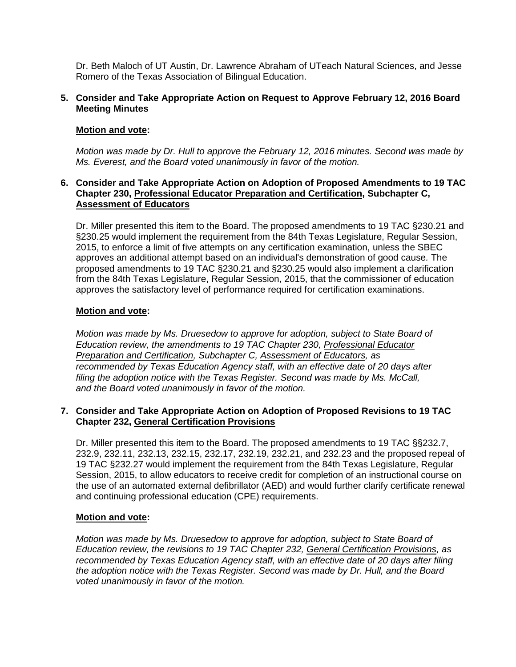Dr. Beth Maloch of UT Austin, Dr. Lawrence Abraham of UTeach Natural Sciences, and Jesse Romero of the Texas Association of Bilingual Education.

## **5. Consider and Take Appropriate Action on Request to Approve February 12, 2016 Board Meeting Minutes**

#### **Motion and vote:**

*Motion was made by Dr. Hull to approve the February 12, 2016 minutes. Second was made by Ms. Everest, and the Board voted unanimously in favor of the motion.*

# **6. Consider and Take Appropriate Action on Adoption of Proposed Amendments to 19 TAC Chapter 230, Professional Educator Preparation and Certification, Subchapter C, Assessment of Educators**

Dr. Miller presented this item to the Board. The proposed amendments to 19 TAC §230.21 and §230.25 would implement the requirement from the 84th Texas Legislature, Regular Session, 2015, to enforce a limit of five attempts on any certification examination, unless the SBEC approves an additional attempt based on an individual's demonstration of good cause*.* The proposed amendments to 19 TAC §230.21 and §230.25 would also implement a clarification from the 84th Texas Legislature, Regular Session, 2015, that the commissioner of education approves the satisfactory level of performance required for certification examinations.

# **Motion and vote:**

*Motion was made by Ms. Druesedow to approve for adoption, subject to State Board of Education review, the amendments to 19 TAC Chapter 230, Professional Educator Preparation and Certification, Subchapter C, Assessment of Educators, as recommended by Texas Education Agency staff, with an effective date of 20 days after filing the adoption notice with the Texas Register. Second was made by Ms. McCall, and the Board voted unanimously in favor of the motion.*

# **7. Consider and Take Appropriate Action on Adoption of Proposed Revisions to 19 TAC Chapter 232, General Certification Provisions**

Dr. Miller presented this item to the Board. The proposed amendments to 19 TAC §§232.7, 232.9, 232.11, 232.13, 232.15, 232.17, 232.19, 232.21, and 232.23 and the proposed repeal of 19 TAC §232.27 would implement the requirement from the 84th Texas Legislature, Regular Session, 2015, to allow educators to receive credit for completion of an instructional course on the use of an automated external defibrillator (AED) and would further clarify certificate renewal and continuing professional education (CPE) requirements.

#### **Motion and vote:**

*Motion was made by Ms. Druesedow to approve for adoption, subject to State Board of Education review, the revisions to 19 TAC Chapter 232, General Certification Provisions, as recommended by Texas Education Agency staff, with an effective date of 20 days after filing the adoption notice with the Texas Register. Second was made by Dr. Hull, and the Board voted unanimously in favor of the motion.*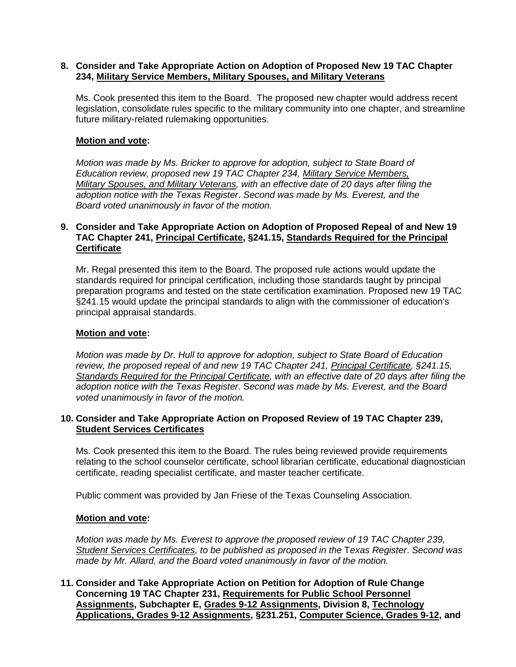# **8. Consider and Take Appropriate Action on Adoption of Proposed New 19 TAC Chapter 234, Military Service Members, Military Spouses, and Military Veterans**

Ms. Cook presented this item to the Board. The proposed new chapter would address recent legislation, consolidate rules specific to the military community into one chapter, and streamline future military-related rulemaking opportunities.

# **Motion and vote:**

*Motion was made by Ms. Bricker to approve for adoption, subject to State Board of Education review, proposed new 19 TAC Chapter 234, Military Service Members, Military Spouses, and Military Veterans, with an effective date of 20 days after filing the adoption notice with the Texas Register*. *Second was made by Ms. Everest, and the Board voted unanimously in favor of the motion.*

# **9. Consider and Take Appropriate Action on Adoption of Proposed Repeal of and New 19 TAC Chapter 241, Principal Certificate, §241.15, Standards Required for the Principal Certificate**

Mr. Regal presented this item to the Board. The proposed rule actions would update the standards required for principal certification, including those standards taught by principal preparation programs and tested on the state certification examination. Proposed new 19 TAC §241.15 would update the principal standards to align with the commissioner of education's principal appraisal standards.

# **Motion and vote:**

*Motion was made by Dr. Hull to approve for adoption, subject to State Board of Education review, the proposed repeal of and new 19 TAC Chapter 241, Principal Certificate, §241.15, Standards Required for the Principal Certificate, with an effective date of 20 days after filing the adoption notice with the Texas Register*. S*econd was made by Ms. Everest, and the Board voted unanimously in favor of the motion.*

# **10. Consider and Take Appropriate Action on Proposed Review of 19 TAC Chapter 239, Student Services Certificates**

Ms. Cook presented this item to the Board. The rules being reviewed provide requirements relating to the school counselor certificate, school librarian certificate, educational diagnostician certificate, reading specialist certificate, and master teacher certificate.

Public comment was provided by Jan Friese of the Texas Counseling Association.

#### **Motion and vote:**

*Motion was made by Ms. Everest to approve the proposed review of 19 TAC Chapter 239, Student Services Certificates, to be published as proposed in the* T*exas Register*. *Second was made by Mr. Allard, and the Board voted unanimously in favor of the motion.*

**11. Consider and Take Appropriate Action on Petition for Adoption of Rule Change Concerning 19 TAC Chapter 231, Requirements for Public School Personnel Assignments, Subchapter E, Grades 9-12 Assignments, Division 8, Technology Applications, Grades 9-12 Assignments, §231.251, Computer Science, Grades 9-12, and**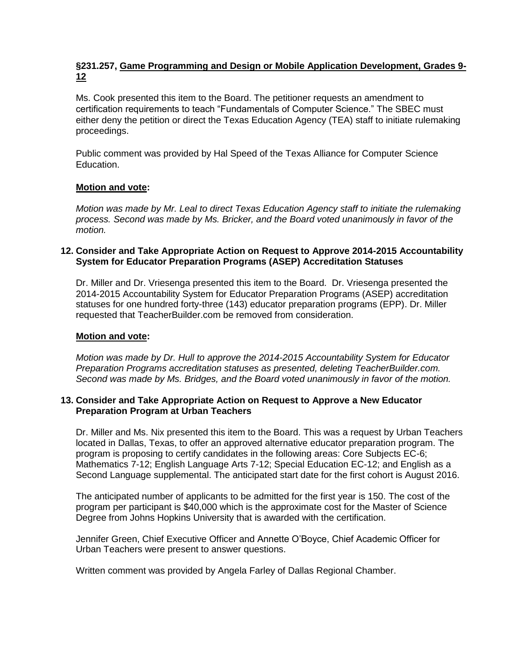# **§231.257, Game Programming and Design or Mobile Application Development, Grades 9- 12**

Ms. Cook presented this item to the Board. The petitioner requests an amendment to certification requirements to teach "Fundamentals of Computer Science." The SBEC must either deny the petition or direct the Texas Education Agency (TEA) staff to initiate rulemaking proceedings.

Public comment was provided by Hal Speed of the Texas Alliance for Computer Science Education.

# **Motion and vote:**

*Motion was made by Mr. Leal to direct Texas Education Agency staff to initiate the rulemaking process. Second was made by Ms. Bricker, and the Board voted unanimously in favor of the motion.*

# **12. Consider and Take Appropriate Action on Request to Approve 2014-2015 Accountability System for Educator Preparation Programs (ASEP) Accreditation Statuses**

Dr. Miller and Dr. Vriesenga presented this item to the Board. Dr. Vriesenga presented the 2014-2015 Accountability System for Educator Preparation Programs (ASEP) accreditation statuses for one hundred forty-three (143) educator preparation programs (EPP). Dr. Miller requested that TeacherBuilder.com be removed from consideration.

# **Motion and vote:**

*Motion was made by Dr. Hull to approve the 2014-2015 Accountability System for Educator Preparation Programs accreditation statuses as presented, deleting TeacherBuilder.com. Second was made by Ms. Bridges, and the Board voted unanimously in favor of the motion.*

# **13. Consider and Take Appropriate Action on Request to Approve a New Educator Preparation Program at Urban Teachers**

Dr. Miller and Ms. Nix presented this item to the Board. This was a request by Urban Teachers located in Dallas, Texas, to offer an approved alternative educator preparation program. The program is proposing to certify candidates in the following areas: Core Subjects EC-6; Mathematics 7-12; English Language Arts 7-12; Special Education EC-12; and English as a Second Language supplemental. The anticipated start date for the first cohort is August 2016.

The anticipated number of applicants to be admitted for the first year is 150. The cost of the program per participant is \$40,000 which is the approximate cost for the Master of Science Degree from Johns Hopkins University that is awarded with the certification.

Jennifer Green, Chief Executive Officer and Annette O'Boyce, Chief Academic Officer for Urban Teachers were present to answer questions.

Written comment was provided by Angela Farley of Dallas Regional Chamber.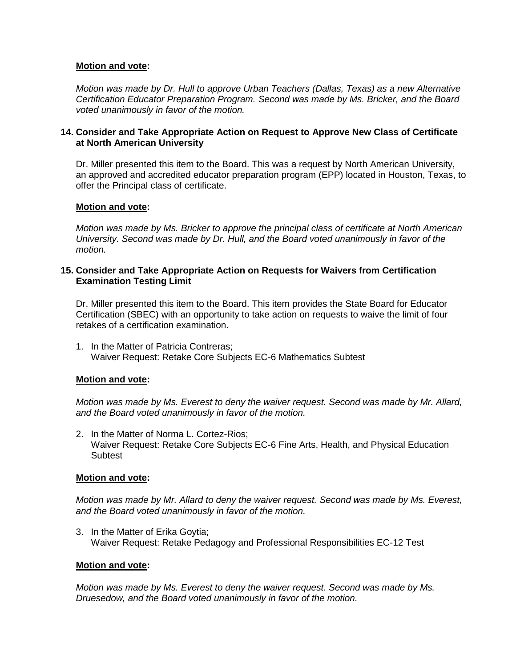# **Motion and vote:**

*Motion was made by Dr. Hull to approve Urban Teachers (Dallas, Texas) as a new Alternative Certification Educator Preparation Program. Second was made by Ms. Bricker, and the Board voted unanimously in favor of the motion.*

# **14. Consider and Take Appropriate Action on Request to Approve New Class of Certificate at North American University**

Dr. Miller presented this item to the Board. This was a request by North American University, an approved and accredited educator preparation program (EPP) located in Houston, Texas, to offer the Principal class of certificate.

# **Motion and vote:**

*Motion was made by Ms. Bricker to approve the principal class of certificate at North American University. Second was made by Dr. Hull, and the Board voted unanimously in favor of the motion.*

#### **15. Consider and Take Appropriate Action on Requests for Waivers from Certification Examination Testing Limit**

Dr. Miller presented this item to the Board. This item provides the State Board for Educator Certification (SBEC) with an opportunity to take action on requests to waive the limit of four retakes of a certification examination.

1. In the Matter of Patricia Contreras; Waiver Request: Retake Core Subjects EC-6 Mathematics Subtest

#### **Motion and vote:**

*Motion was made by Ms. Everest to deny the waiver request. Second was made by Mr. Allard, and the Board voted unanimously in favor of the motion.*

2. In the Matter of Norma L. Cortez-Rios; Waiver Request: Retake Core Subjects EC-6 Fine Arts, Health, and Physical Education **Subtest** 

#### **Motion and vote:**

*Motion was made by Mr. Allard to deny the waiver request. Second was made by Ms. Everest, and the Board voted unanimously in favor of the motion.*

3. In the Matter of Erika Goytia; Waiver Request: Retake Pedagogy and Professional Responsibilities EC-12 Test

#### **Motion and vote:**

*Motion was made by Ms. Everest to deny the waiver request. Second was made by Ms. Druesedow, and the Board voted unanimously in favor of the motion.*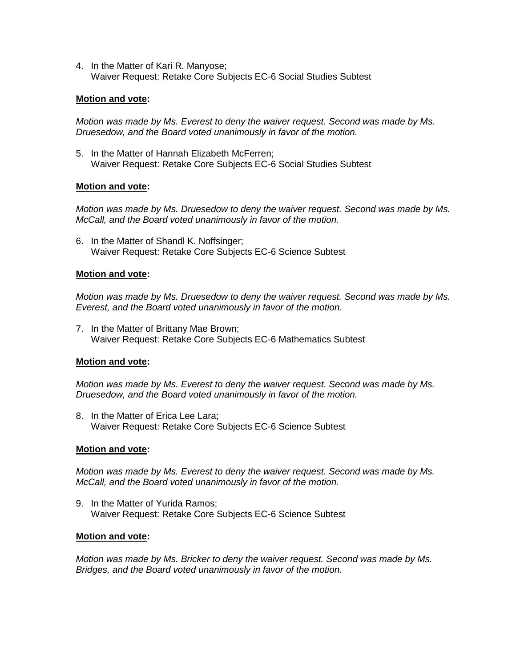4. In the Matter of Kari R. Manyose; Waiver Request: Retake Core Subjects EC-6 Social Studies Subtest

#### **Motion and vote:**

*Motion was made by Ms. Everest to deny the waiver request. Second was made by Ms. Druesedow, and the Board voted unanimously in favor of the motion.*

5. In the Matter of Hannah Elizabeth McFerren; Waiver Request: Retake Core Subjects EC-6 Social Studies Subtest

#### **Motion and vote:**

*Motion was made by Ms. Druesedow to deny the waiver request. Second was made by Ms. McCall, and the Board voted unanimously in favor of the motion.*

6. In the Matter of Shandl K. Noffsinger; Waiver Request: Retake Core Subjects EC-6 Science Subtest

#### **Motion and vote:**

*Motion was made by Ms. Druesedow to deny the waiver request. Second was made by Ms. Everest, and the Board voted unanimously in favor of the motion.*

7. In the Matter of Brittany Mae Brown; Waiver Request: Retake Core Subjects EC-6 Mathematics Subtest

#### **Motion and vote:**

*Motion was made by Ms. Everest to deny the waiver request. Second was made by Ms. Druesedow, and the Board voted unanimously in favor of the motion.*

8. In the Matter of Erica Lee Lara; Waiver Request: Retake Core Subjects EC-6 Science Subtest

#### **Motion and vote:**

*Motion was made by Ms. Everest to deny the waiver request. Second was made by Ms. McCall, and the Board voted unanimously in favor of the motion.*

9. In the Matter of Yurida Ramos; Waiver Request: Retake Core Subjects EC-6 Science Subtest

#### **Motion and vote:**

*Motion was made by Ms. Bricker to deny the waiver request. Second was made by Ms. Bridges, and the Board voted unanimously in favor of the motion.*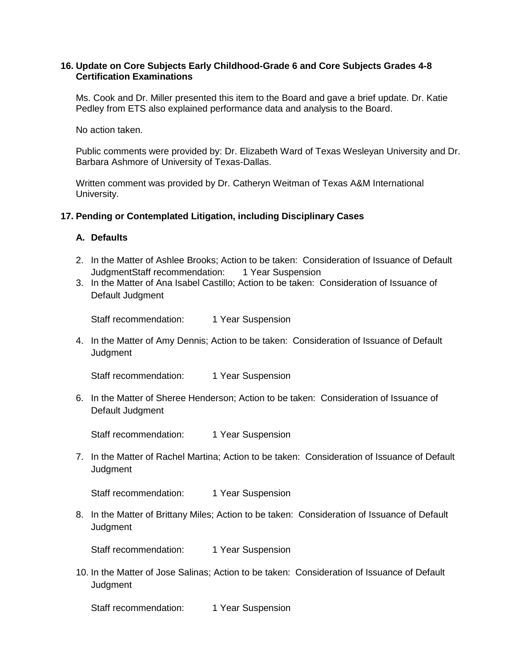# **16. Update on Core Subjects Early Childhood-Grade 6 and Core Subjects Grades 4-8 Certification Examinations**

Ms. Cook and Dr. Miller presented this item to the Board and gave a brief update. Dr. Katie Pedley from ETS also explained performance data and analysis to the Board.

No action taken.

Public comments were provided by: Dr. Elizabeth Ward of Texas Wesleyan University and Dr. Barbara Ashmore of University of Texas-Dallas.

Written comment was provided by Dr. Catheryn Weitman of Texas A&M International University.

# **17. Pending or Contemplated Litigation, including Disciplinary Cases**

# **A. Defaults**

- 2. In the Matter of Ashlee Brooks; Action to be taken: Consideration of Issuance of Default JudgmentStaff recommendation: 1 Year Suspension
- 3. In the Matter of Ana Isabel Castillo; Action to be taken: Consideration of Issuance of Default Judgment

Staff recommendation: 1 Year Suspension

4. In the Matter of Amy Dennis; Action to be taken: Consideration of Issuance of Default **Judgment** 

Staff recommendation: 1 Year Suspension

6. In the Matter of Sheree Henderson; Action to be taken: Consideration of Issuance of Default Judgment

Staff recommendation: 1 Year Suspension

7. In the Matter of Rachel Martina; Action to be taken: Consideration of Issuance of Default **Judament** 

Staff recommendation: 1 Year Suspension

8. In the Matter of Brittany Miles; Action to be taken: Consideration of Issuance of Default **Judgment** 

Staff recommendation: 1 Year Suspension

10. In the Matter of Jose Salinas; Action to be taken: Consideration of Issuance of Default **Judgment** 

Staff recommendation: 1 Year Suspension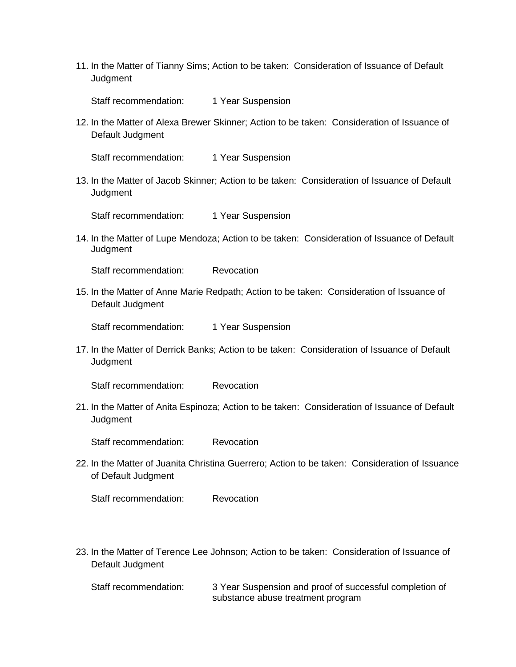11. In the Matter of Tianny Sims; Action to be taken: Consideration of Issuance of Default **Judgment** 

Staff recommendation: 1 Year Suspension

12. In the Matter of Alexa Brewer Skinner; Action to be taken: Consideration of Issuance of Default Judgment

Staff recommendation: 1 Year Suspension

13. In the Matter of Jacob Skinner; Action to be taken: Consideration of Issuance of Default **Judgment** 

Staff recommendation: 1 Year Suspension

14. In the Matter of Lupe Mendoza; Action to be taken: Consideration of Issuance of Default **Judgment** 

Staff recommendation: Revocation

15. In the Matter of Anne Marie Redpath; Action to be taken: Consideration of Issuance of Default Judgment

Staff recommendation: 1 Year Suspension

17. In the Matter of Derrick Banks; Action to be taken: Consideration of Issuance of Default **Judgment** 

Staff recommendation: Revocation

21. In the Matter of Anita Espinoza; Action to be taken: Consideration of Issuance of Default **Judgment** 

Staff recommendation: Revocation

22. In the Matter of Juanita Christina Guerrero; Action to be taken: Consideration of Issuance of Default Judgment

Staff recommendation: Revocation

23. In the Matter of Terence Lee Johnson; Action to be taken: Consideration of Issuance of Default Judgment

Staff recommendation: 3 Year Suspension and proof of successful completion of substance abuse treatment program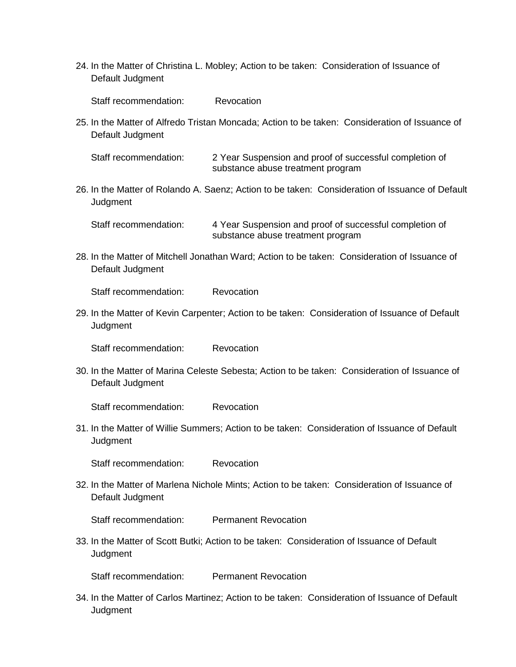24. In the Matter of Christina L. Mobley; Action to be taken: Consideration of Issuance of Default Judgment

Staff recommendation: Revocation

25. In the Matter of Alfredo Tristan Moncada; Action to be taken: Consideration of Issuance of Default Judgment

Staff recommendation: 2 Year Suspension and proof of successful completion of substance abuse treatment program

26. In the Matter of Rolando A. Saenz; Action to be taken: Consideration of Issuance of Default Judgment

Staff recommendation: 4 Year Suspension and proof of successful completion of substance abuse treatment program

28. In the Matter of Mitchell Jonathan Ward; Action to be taken: Consideration of Issuance of Default Judgment

Staff recommendation: Revocation

29. In the Matter of Kevin Carpenter; Action to be taken: Consideration of Issuance of Default **Judgment** 

Staff recommendation: Revocation

30. In the Matter of Marina Celeste Sebesta; Action to be taken: Consideration of Issuance of Default Judgment

Staff recommendation: Revocation

31. In the Matter of Willie Summers; Action to be taken: Consideration of Issuance of Default **Judgment** 

Staff recommendation: Revocation

32. In the Matter of Marlena Nichole Mints; Action to be taken: Consideration of Issuance of Default Judgment

Staff recommendation: Permanent Revocation

33. In the Matter of Scott Butki; Action to be taken: Consideration of Issuance of Default Judgment

Staff recommendation: Permanent Revocation

34. In the Matter of Carlos Martinez; Action to be taken: Consideration of Issuance of Default **Judgment**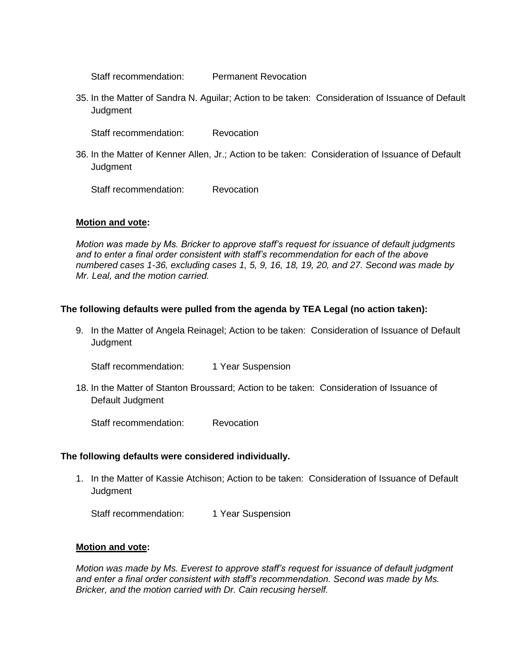Staff recommendation: Permanent Revocation

35. In the Matter of Sandra N. Aguilar; Action to be taken: Consideration of Issuance of Default **Judgment** 

Staff recommendation: Revocation

36. In the Matter of Kenner Allen, Jr.; Action to be taken: Consideration of Issuance of Default **Judgment** 

Staff recommendation: Revocation

# **Motion and vote:**

*Motion was made by Ms. Bricker to approve staff's request for issuance of default judgments and to enter a final order consistent with staff's recommendation for each of the above numbered cases 1-36, excluding cases 1, 5, 9, 16, 18, 19, 20, and 27. Second was made by Mr. Leal, and the motion carried.*

# **The following defaults were pulled from the agenda by TEA Legal (no action taken):**

9. In the Matter of Angela Reinagel; Action to be taken: Consideration of Issuance of Default **Judgment** 

Staff recommendation: 1 Year Suspension

18. In the Matter of Stanton Broussard; Action to be taken: Consideration of Issuance of Default Judgment

Staff recommendation: Revocation

#### **The following defaults were considered individually.**

1. In the Matter of Kassie Atchison; Action to be taken: Consideration of Issuance of Default **Judgment** 

Staff recommendation: 1 Year Suspension

#### **Motion and vote:**

*Motion was made by Ms. Everest to approve staff's request for issuance of default judgment and enter a final order consistent with staff's recommendation. Second was made by Ms. Bricker, and the motion carried with Dr. Cain recusing herself.*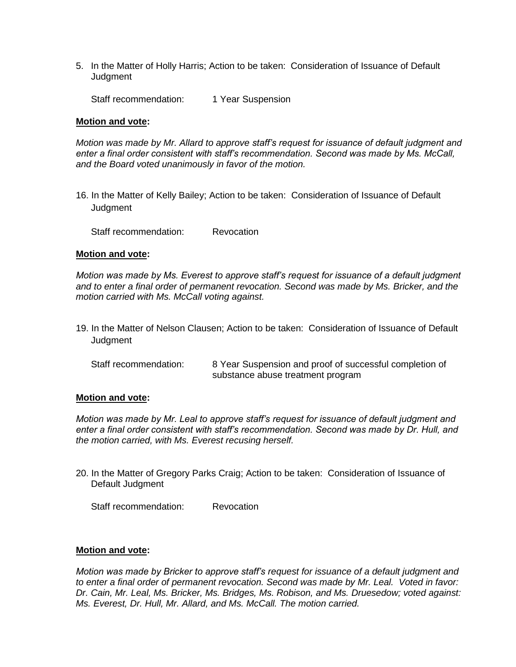5. In the Matter of Holly Harris; Action to be taken: Consideration of Issuance of Default **Judgment** 

Staff recommendation: 1 Year Suspension

#### **Motion and vote:**

*Motion was made by Mr. Allard to approve staff's request for issuance of default judgment and enter a final order consistent with staff's recommendation. Second was made by Ms. McCall, and the Board voted unanimously in favor of the motion.*

16. In the Matter of Kelly Bailey; Action to be taken: Consideration of Issuance of Default **Judgment** 

Staff recommendation: Revocation

#### **Motion and vote:**

*Motion was made by Ms. Everest to approve staff's request for issuance of a default judgment and to enter a final order of permanent revocation. Second was made by Ms. Bricker, and the motion carried with Ms. McCall voting against.*

19. In the Matter of Nelson Clausen; Action to be taken: Consideration of Issuance of Default **Judgment** 

| Staff recommendation: | 8 Year Suspension and proof of successful completion of |
|-----------------------|---------------------------------------------------------|
|                       | substance abuse treatment program                       |

#### **Motion and vote:**

*Motion was made by Mr. Leal to approve staff's request for issuance of default judgment and enter a final order consistent with staff's recommendation. Second was made by Dr. Hull, and the motion carried, with Ms. Everest recusing herself.*

20. In the Matter of Gregory Parks Craig; Action to be taken: Consideration of Issuance of Default Judgment

Staff recommendation: Revocation

#### **Motion and vote:**

*Motion was made by Bricker to approve staff's request for issuance of a default judgment and to enter a final order of permanent revocation. Second was made by Mr. Leal. Voted in favor: Dr. Cain, Mr. Leal, Ms. Bricker, Ms. Bridges, Ms. Robison, and Ms. Druesedow; voted against: Ms. Everest, Dr. Hull, Mr. Allard, and Ms. McCall. The motion carried.*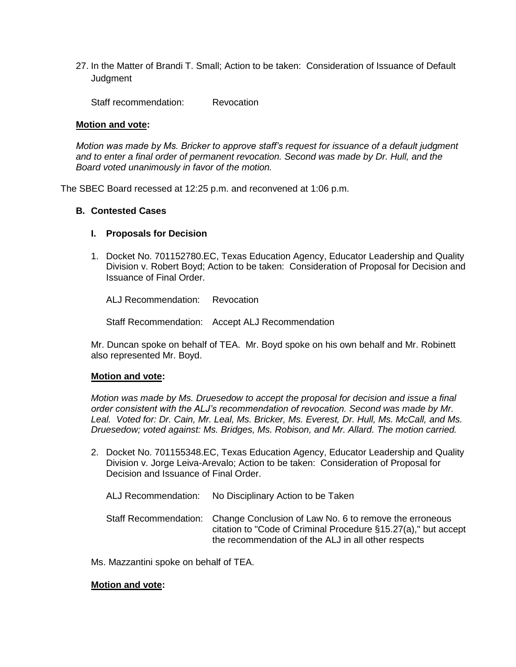27. In the Matter of Brandi T. Small; Action to be taken: Consideration of Issuance of Default **Judgment** 

Staff recommendation: Revocation

#### **Motion and vote:**

*Motion was made by Ms. Bricker to approve staff's request for issuance of a default judgment and to enter a final order of permanent revocation. Second was made by Dr. Hull, and the Board voted unanimously in favor of the motion.*

The SBEC Board recessed at 12:25 p.m. and reconvened at 1:06 p.m.

#### **B. Contested Cases**

#### **I. Proposals for Decision**

1. Docket No. 701152780.EC, Texas Education Agency, Educator Leadership and Quality Division v. Robert Boyd; Action to be taken: Consideration of Proposal for Decision and Issuance of Final Order.

ALJ Recommendation: Revocation

Staff Recommendation: Accept ALJ Recommendation

Mr. Duncan spoke on behalf of TEA. Mr. Boyd spoke on his own behalf and Mr. Robinett also represented Mr. Boyd.

#### **Motion and vote:**

*Motion was made by Ms. Druesedow to accept the proposal for decision and issue a final order consistent with the ALJ's recommendation of revocation. Second was made by Mr. Leal. Voted for: Dr. Cain, Mr. Leal, Ms. Bricker, Ms. Everest, Dr. Hull, Ms. McCall, and Ms. Druesedow; voted against: Ms. Bridges, Ms. Robison, and Mr. Allard. The motion carried.*

- 2. Docket No. 701155348.EC, Texas Education Agency, Educator Leadership and Quality Division v. Jorge Leiva-Arevalo; Action to be taken: Consideration of Proposal for Decision and Issuance of Final Order.
	- ALJ Recommendation: No Disciplinary Action to be Taken
	- Staff Recommendation: Change Conclusion of Law No. 6 to remove the erroneous citation to "Code of Criminal Procedure §15.27(a)," but accept the recommendation of the ALJ in all other respects

Ms. Mazzantini spoke on behalf of TEA.

#### **Motion and vote:**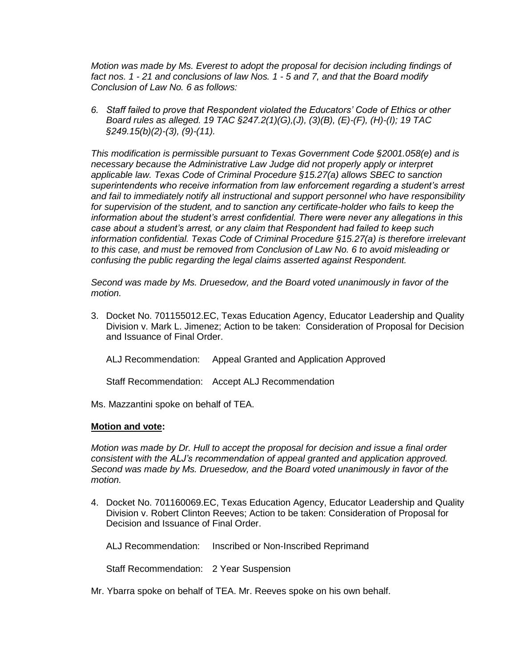*Motion was made by Ms. Everest to adopt the proposal for decision including findings of fact nos. 1 - 21 and conclusions of law Nos. 1 - 5 and 7, and that the Board modify Conclusion of Law No. 6 as follows:*

*6. Staff failed to prove that Respondent violated the Educators' Code of Ethics or other Board rules as alleged. 19 TAC §247.2(1)(G),(J), (3)(B), (E)-(F), (H)-(I); 19 TAC §249.15(b)(2)-(3), (9)-(11).*

*This modification is permissible pursuant to Texas Government Code §2001.058(e) and is necessary because the Administrative Law Judge did not properly apply or interpret applicable law. Texas Code of Criminal Procedure §15.27(a) allows SBEC to sanction superintendents who receive information from law enforcement regarding a student's arrest and fail to immediately notify all instructional and support personnel who have responsibility for supervision of the student, and to sanction any certificate-holder who fails to keep the information about the student's arrest confidential. There were never any allegations in this case about a student's arrest, or any claim that Respondent had failed to keep such information confidential. Texas Code of Criminal Procedure §15.27(a) is therefore irrelevant to this case, and must be removed from Conclusion of Law No. 6 to avoid misleading or confusing the public regarding the legal claims asserted against Respondent.* 

*Second was made by Ms. Druesedow, and the Board voted unanimously in favor of the motion.*

3. Docket No. 701155012.EC, Texas Education Agency, Educator Leadership and Quality Division v. Mark L. Jimenez; Action to be taken: Consideration of Proposal for Decision and Issuance of Final Order.

ALJ Recommendation: Appeal Granted and Application Approved

Staff Recommendation: Accept ALJ Recommendation

Ms. Mazzantini spoke on behalf of TEA.

#### **Motion and vote:**

*Motion was made by Dr. Hull to accept the proposal for decision and issue a final order consistent with the ALJ's recommendation of appeal granted and application approved. Second was made by Ms. Druesedow, and the Board voted unanimously in favor of the motion.*

4. Docket No. 701160069.EC, Texas Education Agency, Educator Leadership and Quality Division v. Robert Clinton Reeves; Action to be taken: Consideration of Proposal for Decision and Issuance of Final Order.

ALJ Recommendation: Inscribed or Non-Inscribed Reprimand

Staff Recommendation: 2 Year Suspension

Mr. Ybarra spoke on behalf of TEA. Mr. Reeves spoke on his own behalf.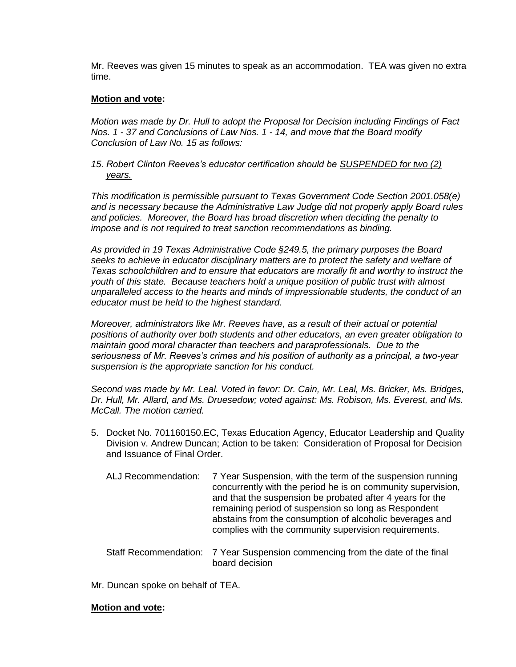Mr. Reeves was given 15 minutes to speak as an accommodation. TEA was given no extra time.

#### **Motion and vote:**

*Motion was made by Dr. Hull to adopt the Proposal for Decision including Findings of Fact Nos. 1 - 37 and Conclusions of Law Nos. 1 - 14, and move that the Board modify Conclusion of Law No. 15 as follows:*

*15. Robert Clinton Reeves's educator certification should be SUSPENDED for two (2) years.*

*This modification is permissible pursuant to Texas Government Code Section 2001.058(e) and is necessary because the Administrative Law Judge did not properly apply Board rules and policies. Moreover, the Board has broad discretion when deciding the penalty to impose and is not required to treat sanction recommendations as binding.* 

*As provided in 19 Texas Administrative Code §249.5, the primary purposes the Board seeks to achieve in educator disciplinary matters are to protect the safety and welfare of Texas schoolchildren and to ensure that educators are morally fit and worthy to instruct the youth of this state. Because teachers hold a unique position of public trust with almost unparalleled access to the hearts and minds of impressionable students, the conduct of an educator must be held to the highest standard.* 

*Moreover, administrators like Mr. Reeves have, as a result of their actual or potential positions of authority over both students and other educators, an even greater obligation to maintain good moral character than teachers and paraprofessionals. Due to the seriousness of Mr. Reeves's crimes and his position of authority as a principal, a two-year suspension is the appropriate sanction for his conduct.*

*Second was made by Mr. Leal. Voted in favor: Dr. Cain, Mr. Leal, Ms. Bricker, Ms. Bridges, Dr. Hull, Mr. Allard, and Ms. Druesedow; voted against: Ms. Robison, Ms. Everest, and Ms. McCall. The motion carried.*

- 5. Docket No. 701160150.EC, Texas Education Agency, Educator Leadership and Quality Division v. Andrew Duncan; Action to be taken: Consideration of Proposal for Decision and Issuance of Final Order.
	- ALJ Recommendation: 7 Year Suspension, with the term of the suspension running concurrently with the period he is on community supervision, and that the suspension be probated after 4 years for the remaining period of suspension so long as Respondent abstains from the consumption of alcoholic beverages and complies with the community supervision requirements.
	- Staff Recommendation: 7 Year Suspension commencing from the date of the final board decision

Mr. Duncan spoke on behalf of TEA.

#### **Motion and vote:**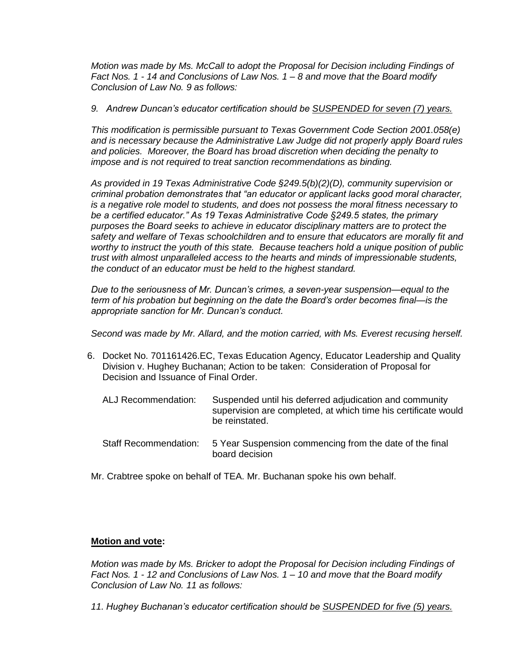*Motion was made by Ms. McCall to adopt the Proposal for Decision including Findings of Fact Nos. 1 - 14 and Conclusions of Law Nos. 1 – 8 and move that the Board modify Conclusion of Law No. 9 as follows:*

*9. Andrew Duncan's educator certification should be SUSPENDED for seven (7) years.*

*This modification is permissible pursuant to Texas Government Code Section 2001.058(e) and is necessary because the Administrative Law Judge did not properly apply Board rules and policies. Moreover, the Board has broad discretion when deciding the penalty to impose and is not required to treat sanction recommendations as binding.* 

*As provided in 19 Texas Administrative Code §249.5(b)(2)(D), community supervision or criminal probation demonstrates that "an educator or applicant lacks good moral character, is a negative role model to students, and does not possess the moral fitness necessary to be a certified educator." As 19 Texas Administrative Code §249.5 states, the primary purposes the Board seeks to achieve in educator disciplinary matters are to protect the safety and welfare of Texas schoolchildren and to ensure that educators are morally fit and worthy to instruct the youth of this state. Because teachers hold a unique position of public trust with almost unparalleled access to the hearts and minds of impressionable students, the conduct of an educator must be held to the highest standard.* 

*Due to the seriousness of Mr. Duncan's crimes, a seven-year suspension—equal to the term of his probation but beginning on the date the Board's order becomes final—is the appropriate sanction for Mr. Duncan's conduct.*

*Second was made by Mr. Allard, and the motion carried, with Ms. Everest recusing herself.*

- 6. Docket No. 701161426.EC, Texas Education Agency, Educator Leadership and Quality Division v. Hughey Buchanan; Action to be taken: Consideration of Proposal for Decision and Issuance of Final Order.
	- ALJ Recommendation: Suspended until his deferred adjudication and community supervision are completed, at which time his certificate would be reinstated.
	- Staff Recommendation: 5 Year Suspension commencing from the date of the final board decision

Mr. Crabtree spoke on behalf of TEA. Mr. Buchanan spoke his own behalf.

# **Motion and vote:**

*Motion was made by Ms. Bricker to adopt the Proposal for Decision including Findings of Fact Nos. 1 - 12 and Conclusions of Law Nos. 1 – 10 and move that the Board modify Conclusion of Law No. 11 as follows:*

*11. Hughey Buchanan's educator certification should be SUSPENDED for five (5) years.*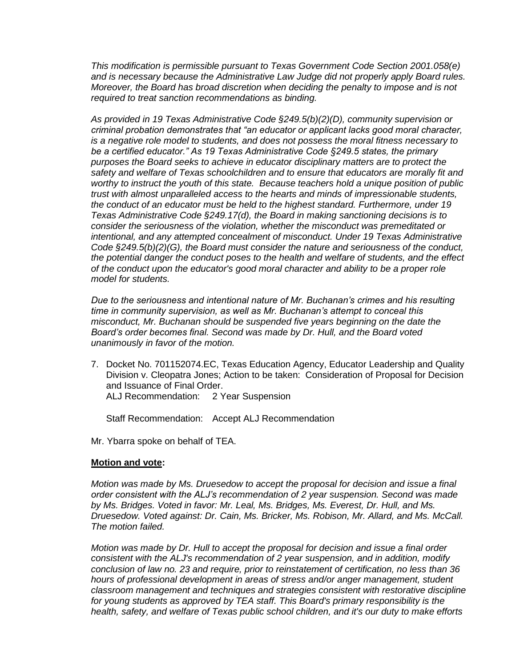*This modification is permissible pursuant to Texas Government Code Section 2001.058(e) and is necessary because the Administrative Law Judge did not properly apply Board rules. Moreover, the Board has broad discretion when deciding the penalty to impose and is not required to treat sanction recommendations as binding.* 

*As provided in 19 Texas Administrative Code §249.5(b)(2)(D), community supervision or criminal probation demonstrates that "an educator or applicant lacks good moral character, is a negative role model to students, and does not possess the moral fitness necessary to be a certified educator." As 19 Texas Administrative Code §249.5 states, the primary purposes the Board seeks to achieve in educator disciplinary matters are to protect the safety and welfare of Texas schoolchildren and to ensure that educators are morally fit and worthy to instruct the youth of this state. Because teachers hold a unique position of public trust with almost unparalleled access to the hearts and minds of impressionable students, the conduct of an educator must be held to the highest standard. Furthermore, under 19 Texas Administrative Code §249.17(d), the Board in making sanctioning decisions is to consider the seriousness of the violation, whether the misconduct was premeditated or intentional, and any attempted concealment of misconduct. Under 19 Texas Administrative Code §249.5(b)(2)(G), the Board must consider the nature and seriousness of the conduct, the potential danger the conduct poses to the health and welfare of students, and the effect of the conduct upon the educator's good moral character and ability to be a proper role model for students.* 

*Due to the seriousness and intentional nature of Mr. Buchanan's crimes and his resulting time in community supervision, as well as Mr. Buchanan's attempt to conceal this misconduct, Mr. Buchanan should be suspended five years beginning on the date the Board's order becomes final. Second was made by Dr. Hull, and the Board voted unanimously in favor of the motion.*

7. Docket No. 701152074.EC, Texas Education Agency, Educator Leadership and Quality Division v. Cleopatra Jones; Action to be taken: Consideration of Proposal for Decision and Issuance of Final Order. ALJ Recommendation: 2 Year Suspension

Staff Recommendation: Accept ALJ Recommendation

Mr. Ybarra spoke on behalf of TEA.

# **Motion and vote:**

*Motion was made by Ms. Druesedow to accept the proposal for decision and issue a final order consistent with the ALJ's recommendation of 2 year suspension. Second was made by Ms. Bridges. Voted in favor: Mr. Leal, Ms. Bridges, Ms. Everest, Dr. Hull, and Ms. Druesedow. Voted against: Dr. Cain, Ms. Bricker, Ms. Robison, Mr. Allard, and Ms. McCall. The motion failed.*

*Motion was made by Dr. Hull to accept the proposal for decision and issue a final order consistent with the ALJ's recommendation of 2 year suspension, and in addition, modify conclusion of law no. 23 and require, prior to reinstatement of certification, no less than 36 hours of professional development in areas of stress and/or anger management, student classroom management and techniques and strategies consistent with restorative discipline for young students as approved by TEA staff. This Board's primary responsibility is the health, safety, and welfare of Texas public school children, and it's our duty to make efforts*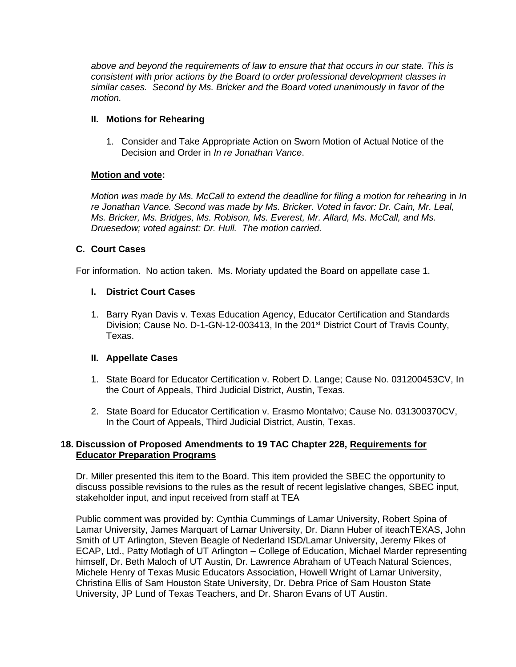*above and beyond the requirements of law to ensure that that occurs in our state. This is consistent with prior actions by the Board to order professional development classes in similar cases. Second by Ms. Bricker and the Board voted unanimously in favor of the motion.*

# **II. Motions for Rehearing**

1. Consider and Take Appropriate Action on Sworn Motion of Actual Notice of the Decision and Order in *In re Jonathan Vance*.

# **Motion and vote:**

*Motion was made by Ms. McCall to extend the deadline for filing a motion for rehearing in In re Jonathan Vance. Second was made by Ms. Bricker. Voted in favor: Dr. Cain, Mr. Leal, Ms. Bricker, Ms. Bridges, Ms. Robison, Ms. Everest, Mr. Allard, Ms. McCall, and Ms. Druesedow; voted against: Dr. Hull. The motion carried.*

# **C. Court Cases**

For information. No action taken. Ms. Moriaty updated the Board on appellate case 1.

# **I. District Court Cases**

1. Barry Ryan Davis v. Texas Education Agency, Educator Certification and Standards Division: Cause No. D-1-GN-12-003413, In the 201<sup>st</sup> District Court of Travis County, Texas.

# **II. Appellate Cases**

- 1. State Board for Educator Certification v. Robert D. Lange; Cause No. 031200453CV, In the Court of Appeals, Third Judicial District, Austin, Texas.
- 2. State Board for Educator Certification v. Erasmo Montalvo; Cause No. 031300370CV, In the Court of Appeals, Third Judicial District, Austin, Texas.

# **18. Discussion of Proposed Amendments to 19 TAC Chapter 228, Requirements for Educator Preparation Programs**

Dr. Miller presented this item to the Board. This item provided the SBEC the opportunity to discuss possible revisions to the rules as the result of recent legislative changes, SBEC input, stakeholder input, and input received from staff at TEA

Public comment was provided by: Cynthia Cummings of Lamar University, Robert Spina of Lamar University, James Marquart of Lamar University, Dr. Diann Huber of iteachTEXAS, John Smith of UT Arlington, Steven Beagle of Nederland ISD/Lamar University, Jeremy Fikes of ECAP, Ltd., Patty Motlagh of UT Arlington – College of Education, Michael Marder representing himself, Dr. Beth Maloch of UT Austin, Dr. Lawrence Abraham of UTeach Natural Sciences, Michele Henry of Texas Music Educators Association, Howell Wright of Lamar University, Christina Ellis of Sam Houston State University, Dr. Debra Price of Sam Houston State University, JP Lund of Texas Teachers, and Dr. Sharon Evans of UT Austin.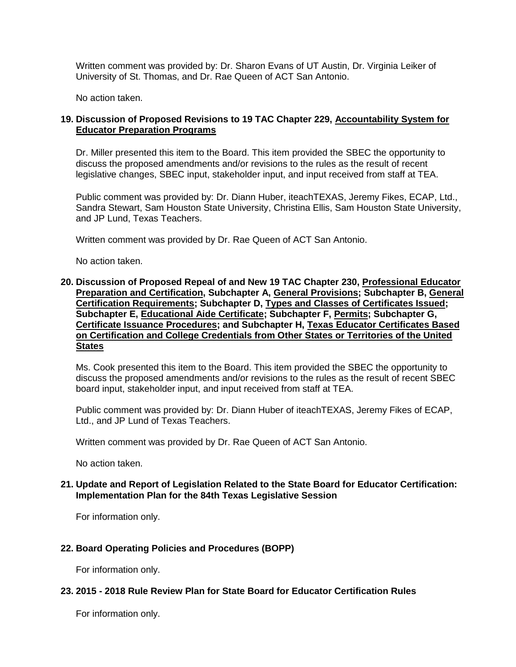Written comment was provided by: Dr. Sharon Evans of UT Austin, Dr. Virginia Leiker of University of St. Thomas, and Dr. Rae Queen of ACT San Antonio.

No action taken.

# **19. Discussion of Proposed Revisions to 19 TAC Chapter 229, Accountability System for Educator Preparation Programs**

Dr. Miller presented this item to the Board. This item provided the SBEC the opportunity to discuss the proposed amendments and/or revisions to the rules as the result of recent legislative changes, SBEC input, stakeholder input, and input received from staff at TEA.

Public comment was provided by: Dr. Diann Huber, iteachTEXAS, Jeremy Fikes, ECAP, Ltd., Sandra Stewart, Sam Houston State University, Christina Ellis, Sam Houston State University, and JP Lund, Texas Teachers.

Written comment was provided by Dr. Rae Queen of ACT San Antonio.

No action taken.

#### **20. Discussion of Proposed Repeal of and New 19 TAC Chapter 230, Professional Educator Preparation and Certification, Subchapter A, General Provisions; Subchapter B, General Certification Requirements; Subchapter D, Types and Classes of Certificates Issued; Subchapter E, Educational Aide Certificate; Subchapter F, Permits; Subchapter G, Certificate Issuance Procedures; and Subchapter H, Texas Educator Certificates Based on Certification and College Credentials from Other States or Territories of the United States**

Ms. Cook presented this item to the Board. This item provided the SBEC the opportunity to discuss the proposed amendments and/or revisions to the rules as the result of recent SBEC board input, stakeholder input, and input received from staff at TEA.

Public comment was provided by: Dr. Diann Huber of iteachTEXAS, Jeremy Fikes of ECAP, Ltd., and JP Lund of Texas Teachers.

Written comment was provided by Dr. Rae Queen of ACT San Antonio.

No action taken.

# **21. Update and Report of Legislation Related to the State Board for Educator Certification: Implementation Plan for the 84th Texas Legislative Session**

For information only.

# **22. Board Operating Policies and Procedures (BOPP)**

For information only.

# **23. 2015 - 2018 Rule Review Plan for State Board for Educator Certification Rules**

For information only.